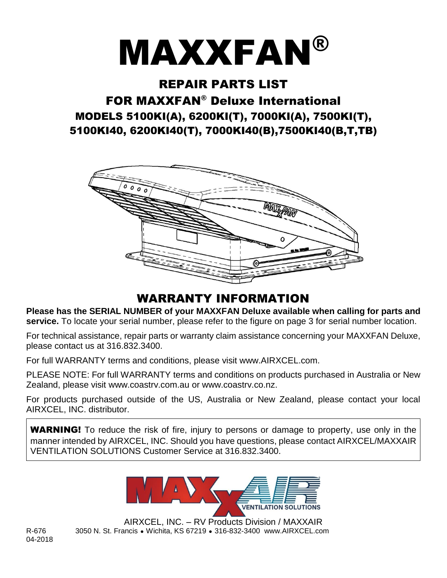# **MAXXFAN®**

#### REPAIR PARTS LIST

# FOR MAXXFAN® Deluxe International MODELS 5100KI(A), 6200KI(T), 7000KI(A), 7500KI(T), 5100KI40, 6200KI40(T), 7000KI40(B),7500KI40(B,T,TB)



## WARRANTY INFORMATION

**Please has the SERIAL NUMBER of your MAXXFAN Deluxe available when calling for parts and**  service. To locate your serial number, please refer to the figure on page 3 for serial number location.

For technical assistance, repair parts or warranty claim assistance concerning your MAXXFAN Deluxe, please contact us at 316.832.3400.

For full WARRANTY terms and conditions, please visit www.AIRXCEL.com.

PLEASE NOTE: For full WARRANTY terms and conditions on products purchased in Australia or New Zealand, please visit www.coastrv.com.au or www.coastrv.co.nz.

For products purchased outside of the US, Australia or New Zealand, please contact your local AIRXCEL, INC. distributor.

**WARNING!** To reduce the risk of fire, injury to persons or damage to property, use only in the manner intended by AIRXCEL, INC. Should you have questions, please contact AIRXCEL/MAXXAIR VENTILATION SOLUTIONS Customer Service at 316.832.3400.



AIRXCEL, INC. – RV Products Division / MAXXAIR R-676 3050 N. St. Francis ● Wichita, KS 67219 ● 316-832-3400 www.AIRXCEL.com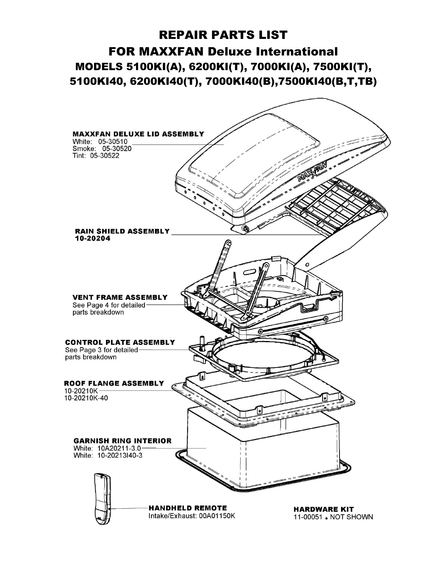# REPAIR PARTS LIST FOR MAXXFAN Deluxe International MODELS 5100KI(A), 6200KI(T), 7000KI(A), 7500KI(T), 5100KI40, 6200KI40(T), 7000KI40(B),7500KI40(B,T,TB)

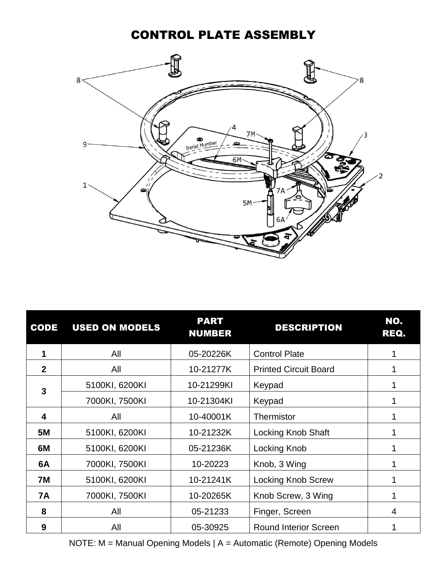#### CONTROL PLATE ASSEMBLY



| <b>CODE</b>    | <b>USED ON MODELS</b> | <b>PART</b><br><b>NUMBER</b> | <b>DESCRIPTION</b>           | NO.<br>REQ. |
|----------------|-----------------------|------------------------------|------------------------------|-------------|
|                | All                   | 05-20226K                    | <b>Control Plate</b>         |             |
| $\overline{2}$ | All                   | 10-21277K                    | <b>Printed Circuit Board</b> |             |
| 3              | 5100KI, 6200KI        | 10-21299KI                   | Keypad                       |             |
|                | 7000KI, 7500KI        | 10-21304KI                   | Keypad                       |             |
| 4              | All                   | 10-40001K                    | Thermistor                   |             |
| <b>5M</b>      | 5100KI, 6200KI        | 10-21232K                    | <b>Locking Knob Shaft</b>    |             |
| 6M             | 5100KI, 6200KI        | 05-21236K                    | Locking Knob                 |             |
| 6A             | 7000KI, 7500KI        | 10-20223                     | Knob, 3 Wing                 |             |
| 7M             | 5100KI, 6200KI        | 10-21241K                    | <b>Locking Knob Screw</b>    |             |
| <b>7A</b>      | 7000KI, 7500KI        | 10-20265K                    | Knob Screw, 3 Wing           |             |
| 8              | All                   | 05-21233                     | Finger, Screen               | 4           |
| 9              | All                   | 05-30925                     | <b>Round Interior Screen</b> |             |

NOTE: M = Manual Opening Models | A = Automatic (Remote) Opening Models